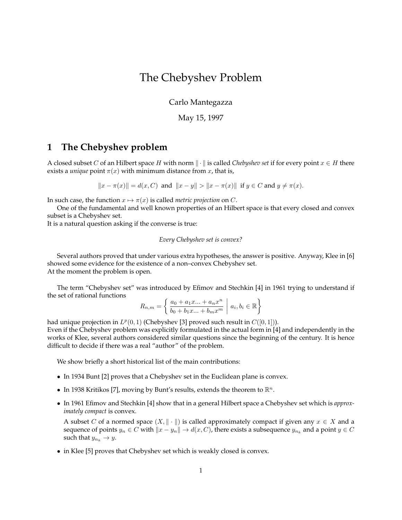# The Chebyshev Problem

Carlo Mantegazza

May 15, 1997

## **1 The Chebyshev problem**

A closed subset C of an Hilbert space H with norm  $\|\cdot\|$  is called *Chebyshev set* if for every point  $x \in H$  there exists a *unique* point  $\pi(x)$  with minimum distance from x, that is,

 $||x - \pi(x)|| = d(x, C)$  and  $||x - y|| > ||x - \pi(x)||$  if  $y \in C$  and  $y \neq \pi(x)$ .

In such case, the function  $x \mapsto \pi(x)$  is called *metric projection* on C.

One of the fundamental and well known properties of an Hilbert space is that every closed and convex subset is a Chebyshev set.

It is a natural question asking if the converse is true:

#### *Every Chebyshev set is convex?*

Several authors proved that under various extra hypotheses, the answer is positive. Anyway, Klee in [6] showed some evidence for the existence of a non–convex Chebyshev set. At the moment the problem is open.

The term "Chebyshev set" was introduced by Efimov and Stechkin [4] in 1961 trying to understand if the set of rational functions

$$
R_{n,m} = \left\{ \left. \frac{a_0 + a_1 x \dots + a_n x^n}{b_0 + b_1 x \dots + b_m x^m} \; \right| \; a_i, b_i \in \mathbb{R} \right\}
$$

had unique projection in  $L^p(0,1)$  (Chebyshev [3] proved such result in  $C([0,1])$ ).

Even if the Chebyshev problem was explicitly formulated in the actual form in [4] and independently in the works of Klee, several authors considered similar questions since the beginning of the century. It is hence difficult to decide if there was a real "author" of the problem.

We show briefly a short historical list of the main contributions:

- In 1934 Bunt [2] proves that a Chebyshev set in the Euclidean plane is convex.
- In 1938 Kritikos [7], moving by Bunt's results, extends the theorem to  $\mathbb{R}^n$ .
- In 1961 Efimov and Stechkin [4] show that in a general Hilbert space a Chebyshev set which is *approximately compact* is convex.

A subset C of a normed space  $(X, \|\cdot\|)$  is called approximately compact if given any  $x \in X$  and a sequence of points  $y_n \in C$  with  $\|x - y_n\| \to d(x,C)$ , there exists a subsequence  $y_{n_k}$  and a point  $y \in C$ such that  $y_{n_k} \to y$ .

• in Klee [5] proves that Chebyshev set which is weakly closed is convex.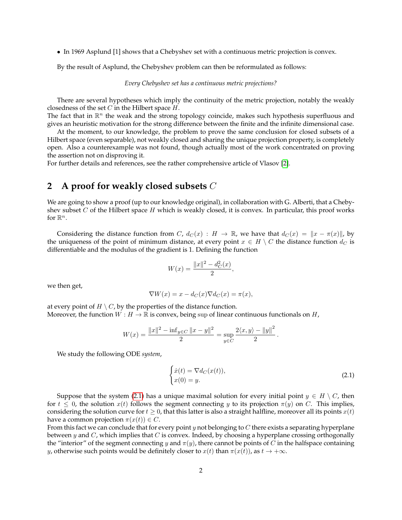• In 1969 Asplund [1] shows that a Chebyshev set with a continuous metric projection is convex.

By the result of Asplund, the Chebyshev problem can then be reformulated as follows:

*Every Chebyshev set has a continuous metric projections?*

There are several hypotheses which imply the continuity of the metric projection, notably the weakly closedness of the set  $C$  in the Hilbert space  $H$ .

The fact that in  $\mathbb{R}^n$  the weak and the strong topology coincide, makes such hypothesis superfluous and gives an heuristic motivation for the strong difference between the finite and the infinite dimensional case.

At the moment, to our knowledge, the problem to prove the same conclusion for closed subsets of a Hilbert space (even separable), not weakly closed and sharing the unique projection property, is completely open. Also a counterexample was not found, though actually most of the work concentrated on proving the assertion not on disproving it.

For further details and references, see the rather comprehensive article of Vlasov [\[2\]](#page-2-0).

## **2 A proof for weakly closed subsets** C

We are going to show a proof (up to our knowledge original), in collaboration with G. Alberti, that a Chebyshev subset  $C$  of the Hilbert space  $H$  which is weakly closed, it is convex. In particular, this proof works for  $\mathbb{R}^n$ .

Considering the distance function from C,  $d_C(x) : H \to \mathbb{R}$ , we have that  $d_C(x) = ||x - \pi(x)||$ , by the uniqueness of the point of minimum distance, at every point  $x \in H \setminus C$  the distance function  $d_C$  is differentiable and the modulus of the gradient is 1. Defining the function

$$
W(x) = \frac{\|x\|^2 - d_C^2(x)}{2},
$$

we then get,

$$
\nabla W(x) = x - d_C(x)\nabla d_C(x) = \pi(x),
$$

at every point of  $H \setminus C$ , by the properties of the distance function. Moreover, the function  $W : H \to \mathbb{R}$  is convex, being sup of linear continuous functionals on H,

$$
W(x) = \frac{||x||^2 - \inf_{y \in C} ||x - y||^2}{2} = \sup_{y \in C} \frac{2\langle x, y \rangle - ||y||^2}{2}
$$

We study the following ODE *system*,

$$
\begin{cases}\n\dot{x}(t) = \nabla d_C(x(t)), \\
x(0) = y.\n\end{cases}
$$
\n(2.1)

<span id="page-1-0"></span>.

Suppose that the system [\(2.1\)](#page-1-0) has a unique maximal solution for every initial point  $y \in H \setminus C$ , then for  $t \leq 0$ , the solution  $x(t)$  follows the segment connecting y to its projection  $\pi(y)$  on C. This implies, considering the solution curve for  $t \geq 0$ , that this latter is also a straight halfline, moreover all its points  $x(t)$ have a common projection  $\pi(x(t)) \in C$ .

From this fact we can conclude that for every point y not belonging to  $C$  there exists a separating hyperplane between y and  $C$ , which implies that  $C$  is convex. Indeed, by choosing a hyperplane crossing orthogonally the "interior" of the segment connecting y and  $\pi(y)$ , there cannot be points of C in the halfspace containing *y*, otherwise such points would be definitely closer to  $x(t)$  than  $\pi(x(t))$ , as  $t \to +\infty$ .